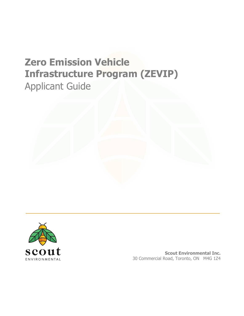# **Zero Emission Vehicle Infrastructure Program (ZEVIP)** Applicant Guide



**Scout Environmental Inc.** 30 Commercial Road, Toronto, ON M4G 1Z4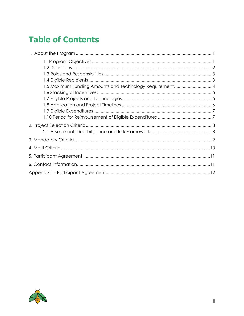## **Table of Contents**

| 1.5 Maximum Funding Amounts and Technology Requirement 4 |  |
|----------------------------------------------------------|--|
|                                                          |  |
|                                                          |  |
|                                                          |  |
|                                                          |  |
|                                                          |  |
|                                                          |  |
|                                                          |  |
|                                                          |  |
|                                                          |  |
|                                                          |  |
|                                                          |  |
|                                                          |  |

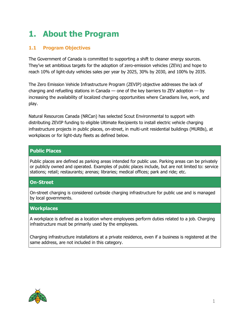## <span id="page-2-0"></span>**1. About the Program**

### <span id="page-2-1"></span>**1.1 Program Objectives**

The Government of Canada is committed to supporting a shift to cleaner energy sources. They've set ambitious targets for the adoption of zero-emission vehicles (ZEVs) and hope to reach 10% of light-duty vehicles sales per year by 2025, 30% by 2030, and 100% by 2035.

The Zero Emission Vehicle Infrastructure Program (ZEVIP) objective addresses the lack of charging and refuelling stations in Canada — one of the key barriers to ZEV adoption  $-$  by increasing the availability of localized charging opportunities where Canadians live, work, and play.

Natural Resources Canada (NRCan) has selected Scout Environmental to support with distributing ZEVIP funding to eligible Ultimate Recipients to install electric vehicle charging infrastructure projects in public places, on-street, in multi-unit residential buildings (MURBs), at workplaces or for light-duty fleets as defined below.

### **Public Places**

Public places are defined as parking areas intended for public use. Parking areas can be privately or publicly owned and operated. Examples of public places include, but are not limited to: service stations; retail; restaurants; arenas; libraries; medical offices; park and ride; etc.

#### **On-Street**

On-street charging is considered curbside charging infrastructure for public use and is managed by local governments.

#### **Workplaces**

A workplace is defined as a location where employees perform duties related to a job. Charging infrastructure must be primarily used by the employees.

Charging infrastructure installations at a private residence, even if a business is registered at the same address, are not included in this category.

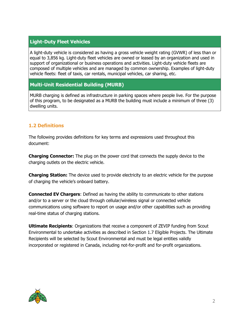#### **Light-Duty Fleet Vehicles**

A light-duty vehicle is considered as having a gross vehicle weight rating (GVWR) of less than or equal to 3,856 kg. Light-duty fleet vehicles are owned or leased by an organization and used in support of organizational or business operations and activities. Light-duty vehicle fleets are composed of multiple vehicles and are managed by common ownership. Examples of light-duty vehicle fleets: fleet of taxis, car rentals, municipal vehicles, car sharing, etc.

#### **Multi-Unit Residential Building (MURB)**

MURB charging is defined as infrastructure in parking spaces where people live. For the purpose of this program, to be designated as a MURB the building must include a minimum of three (3) dwelling units.

#### <span id="page-3-0"></span>**1.2 Definitions**

The following provides definitions for key terms and expressions used throughout this document:

**Charging Connector:** The plug on the power cord that connects the supply device to the charging outlets on the electric vehicle.

**Charging Station:** The device used to provide electricity to an electric vehicle for the purpose of charging the vehicle's onboard battery.

**Connected EV Chargers**: Defined as having the ability to communicate to other stations and/or to a server or the cloud through cellular/wireless signal or connected vehicle communications using software to report on usage and/or other capabilities such as providing real-time status of charging stations.

**Ultimate Recipients**: Organizations that receive a component of ZEVIP funding from Scout Environmental to undertake activities as described in Section 1.7 Eligible Projects. The Ultimate Recipients will be selected by Scout Environmental and must be legal entities validly incorporated or registered in Canada, including not-for-profit and for-profit organizations.

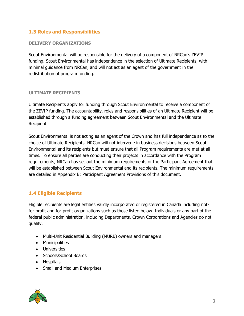### <span id="page-4-0"></span>**1.3 Roles and Responsibilities**

#### **DELIVERY ORGANIZATIONS**

Scout Environmental will be responsible for the delivery of a component of NRCan's ZEVIP funding. Scout Environmental has independence in the selection of Ultimate Recipients, with minimal guidance from NRCan, and will not act as an agent of the government in the redistribution of program funding.

#### **ULTIMATE RECIPIENTS**

Ultimate Recipients apply for funding through Scout Environmental to receive a component of the ZEVIP funding. The accountability, roles and responsibilities of an Ultimate Recipient will be established through a funding agreement between Scout Environmental and the Ultimate Recipient.

Scout Environmental is not acting as an agent of the Crown and has full independence as to the choice of Ultimate Recipients. NRCan will not intervene in business decisions between Scout Environmental and its recipients but must ensure that all Program requirements are met at all times. To ensure all parties are conducting their projects in accordance with the Program requirements, NRCan has set out the minimum requirements of the Participant Agreement that will be established between Scout Environmental and its recipients. The minimum requirements are detailed in Appendix B: Participant Agreement Provisions of this document.

#### <span id="page-4-1"></span>**1.4 Eligible Recipients**

Eligible recipients are legal entities validly incorporated or registered in Canada including notfor-profit and for-profit organizations such as those listed below. Individuals or any part of the federal public administration, including Departments, Crown Corporations and Agencies do not qualify.

- Multi-Unit Residential Building (MURB) owners and managers
- Municipalities
- Universities
- Schools/School Boards
- Hospitals
- Small and Medium Enterprises

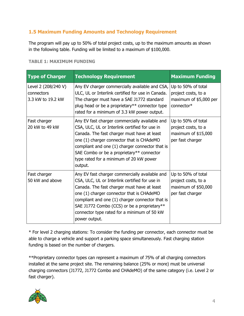## <span id="page-5-0"></span>**1.5 Maximum Funding Amounts and Technology Requirement**

The program will pay up to 50% of total project costs, up to the maximum amounts as shown in the following table. Funding will be limited to a maximum of \$100,000.

| <b>Type of Charger</b>                                 | <b>Technology Requirement</b>                                                                                                                                                                                                                                                                                                                                  | <b>Maximum Funding</b>                                                               |
|--------------------------------------------------------|----------------------------------------------------------------------------------------------------------------------------------------------------------------------------------------------------------------------------------------------------------------------------------------------------------------------------------------------------------------|--------------------------------------------------------------------------------------|
| Level 2 (208/240 V)<br>connectors<br>3.3 kW to 19.2 kW | Any EV charger commercially available and CSA,<br>ULC, UL or Interlink certified for use in Canada.<br>The charger must have a SAE J1772 standard<br>plug head or be a proprietary** connector type<br>rated for a minimum of 3.3 kW power output.                                                                                                             | Up to 50% of total<br>project costs, to a<br>maximum of \$5,000 per<br>connector*    |
| Fast charger<br>20 kW to 49 kW                         | Any EV fast charger commercially available and<br>CSA, ULC, UL or Interlink certified for use in<br>Canada. The fast charger must have at least<br>one (1) charger connector that is CHAdeMO<br>compliant and one (1) charger connector that is<br>SAE Combo or be a proprietary** connector<br>type rated for a minimum of 20 kW power<br>output.             | Up to 50% of total<br>project costs, to a<br>maximum of \$15,000<br>per fast charger |
| Fast charger<br>50 kW and above                        | Any EV fast charger commercially available and<br>CSA, ULC, UL or Interlink certified for use in<br>Canada. The fast charger must have at least<br>one (1) charger connector that is CHAdeMO<br>compliant and one (1) charger connector that is<br>SAE J1772 Combo (CCS) or be a proprietary**<br>connector type rated for a minimum of 50 kW<br>power output. | Up to 50% of total<br>project costs, to a<br>maximum of \$50,000<br>per fast charger |

#### **TABLE 1: MAXIMUM FUNDING**

\* For level 2 charging stations: To consider the funding per connector, each connector must be able to charge a vehicle and support a parking space simultaneously. Fast charging station funding is based on the number of chargers.

\*\*Proprietary connector types can represent a maximum of 75% of all charging connectors installed at the same project site. The remaining balance (25% or more) must be universal charging connectors (J1772, J1772 Combo and CHAdeMO) of the same category (i.e. Level 2 or fast charger).

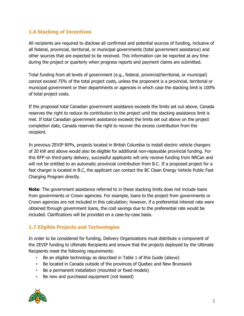### <span id="page-6-0"></span>**1.6 Stacking of Incentives**

All recipients are required to disclose all confirmed and potential sources of funding, inclusive of all federal, provincial, territorial, or municipal governments (total government assistance) and other sources that are expected to be received. This information can be reported at any time during the project or quarterly when progress reports and payment claims are submitted.

Total funding from all levels of government (e.g., federal, provincial/territorial, or municipal) cannot exceed 75% of the total project costs, unless the proponent is a provincial, territorial or municipal government or their departments or agencies in which case the stacking limit is 100% of total project costs.

If the proposed total Canadian government assistance exceeds the limits set out above, Canada reserves the right to reduce its contribution to the project until the stacking assistance limit is met. If total Canadian government assistance exceeds the limits set out above on the project completion date, Canada reserves the right to recover the excess contribution from the recipient.

In previous ZEVIP RFPs, projects located in British Columbia to install electric vehicle chargers of 20 kW and above would also be eligible for additional non-repayable provincial funding. For this RFP on third-party delivery, successful applicants will only receive funding from NRCan and will not be entitled to an automatic provincial contribution from B.C. If a proposed project for a fast charger is located in B.C, the applicant can contact the BC Clean Energy Vehicle Public Fast Charging Program directly.

**Note**: The government assistance referred to in these stacking limits does not include loans from governments or Crown agencies. For example, loans to the project from governments or Crown agencies are not included in this calculation; however, if a preferential interest rate were obtained through government loans, the cost savings due to the preferential rate would be included. Clarifications will be provided on a case-by-case basis.

## <span id="page-6-1"></span>**1.7 Eligible Projects and Technologies**

In order to be considered for funding, Delivery Organizations must distribute a component of the ZEVIP funding to Ultimate Recipients and ensure that the projects deployed by the Ultimate Recipients meet the following requirements:

- Be an eligible technology as described in Table 1 of this Guide (above)
- Be located in Canada outside of the provinces of Quebec and New Brunswick
- Be a permanent installation (mounted or fixed models)
- Be new and purchased equipment (not leased)

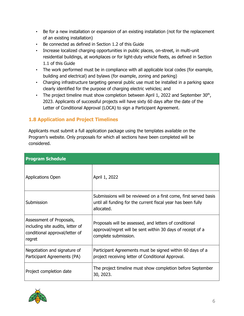- Be for a new installation or expansion of an existing installation (not for the replacement of an existing installation)
- Be connected as defined in Section 1.2 of this Guide
- Increase localized charging opportunities in public places, on-street, in multi-unit residential buildings, at workplaces or for light-duty vehicle fleets, as defined in Section 1.1 of this Guide
- The work performed must be in compliance with all applicable local codes (for example, building and electrical) and bylaws (for example, zoning and parking)
- Charging infrastructure targeting general public use must be installed in a parking space clearly identified for the purpose of charging electric vehicles; and
- The project timeline must show completion between April 1, 2022 and September  $30<sup>th</sup>$ , 2023. Applicants of successful projects will have sixty 60 days after the date of the Letter of Conditional Approval (LOCA) to sign a Participant Agreement.

## <span id="page-7-0"></span>**1.8 Application and Project Timelines**

Applicants must submit a full application package using the templates available on the Program's website. Only proposals for which all sections have been completed will be considered.

| <b>Program Schedule</b>                                                                                  |                                                                                                                                                |  |  |  |
|----------------------------------------------------------------------------------------------------------|------------------------------------------------------------------------------------------------------------------------------------------------|--|--|--|
| <b>Applications Open</b>                                                                                 | April 1, 2022                                                                                                                                  |  |  |  |
| Submission                                                                                               | Submissions will be reviewed on a first come, first served basis<br>until all funding for the current fiscal year has been fully<br>allocated. |  |  |  |
| Assessment of Proposals,<br>including site audits, letter of<br>conditional approval/letter of<br>regret | Proposals will be assessed, and letters of conditional<br>approval/regret will be sent within 30 days of receipt of a<br>complete submission.  |  |  |  |
| Negotiation and signature of<br>Participant Agreements (PA)                                              | Participant Agreements must be signed within 60 days of a<br>project receiving letter of Conditional Approval.                                 |  |  |  |
| Project completion date                                                                                  | The project timeline must show completion before September<br>30, 2023.                                                                        |  |  |  |

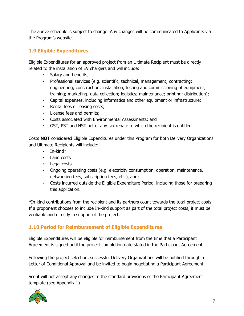The above schedule is subject to change. Any changes will be communicated to Applicants via the Program's website.

## <span id="page-8-0"></span>**1.9 Eligible Expenditures**

Eligible Expenditures for an approved project from an Ultimate Recipient must be directly related to the installation of EV chargers and will include:

- Salary and benefits;
- Professional services (e.g. scientific, technical, management; contracting; engineering; construction; installation, testing and commissioning of equipment; training; marketing; data collection; logistics; maintenance; printing; distribution);
- Capital expenses, including informatics and other equipment or infrastructure;
- Rental fees or leasing costs;
- License fees and permits;
- Costs associated with Environmental Assessments; and
- GST, PST and HST net of any tax rebate to which the recipient is entitled.

Costs **NOT** considered Eligible Expenditures under this Program for both Delivery Organizations and Ultimate Recipients will include:

- In-kind\*
- Land costs
- Legal costs
- Ongoing operating costs (e.g. electricity consumption, operation, maintenance, networking fees, subscription fees, etc.), and;
- Costs incurred outside the Eligible Expenditure Period, including those for preparing this application.

\*In-kind contributions from the recipient and its partners count towards the total project costs. If a proponent chooses to include In-kind support as part of the total project costs, it must be verifiable and directly in support of the project.

## <span id="page-8-1"></span>**1.10 Period for Reimbursement of Eligible Expenditures**

Eligible Expenditures will be eligible for reimbursement from the time that a Participant Agreement is signed until the project completion date stated in the Participant Agreement.

Following the project selection, successful Delivery Organizations will be notified through a Letter of Conditional Approval and be invited to begin negotiating a Participant Agreement.

Scout will not accept any changes to the standard provisions of the Participant Agreement template (see Appendix 1).

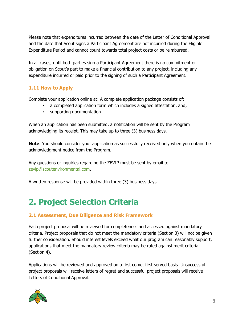Please note that expenditures incurred between the date of the Letter of Conditional Approval and the date that Scout signs a Participant Agreement are not incurred during the Eligible Expenditure Period and cannot count towards total project costs or be reimbursed.

In all cases, until both parties sign a Participant Agreement there is no commitment or obligation on Scout's part to make a financial contribution to any project, including any expenditure incurred or paid prior to the signing of such a Participant Agreement.

### **1.11 How to Apply**

Complete your application online at: A complete application package consists of:

- a completed application form which includes a signed attestation, and;
- supporting documentation.

When an application has been submitted, a notification will be sent by the Program acknowledging its receipt. This may take up to three (3) business days.

**Note**: You should consider your application as successfully received only when you obtain the acknowledgment notice from the Program.

Any questions or inquiries regarding the ZEVIP must be sent by email to: [zevip@scoutenvironmental.com.](http://zevip@scoutenvironmental.com)

A written response will be provided within three (3) business days.

## <span id="page-9-0"></span>**2. Project Selection Criteria**

## <span id="page-9-1"></span>**2.1 Assessment, Due Diligence and Risk Framework**

Each project proposal will be reviewed for completeness and assessed against mandatory criteria. Project proposals that do not meet the mandatory criteria (Section 3) will not be given further consideration. Should interest levels exceed what our program can reasonably support, applications that meet the mandatory review criteria may be rated against merit criteria (Section 4).

Applications will be reviewed and approved on a first come, first served basis. Unsuccessful project proposals will receive letters of regret and successful project proposals will receive Letters of Conditional Approval.

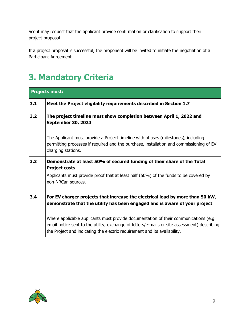Scout may request that the applicant provide confirmation or clarification to support their project proposal.

If a project proposal is successful, the proponent will be invited to initiate the negotiation of a Participant Agreement.

## <span id="page-10-0"></span>**3. Mandatory Criteria**

| <b>Projects must:</b> |                                                                                                                                                                                                                                                                   |  |  |
|-----------------------|-------------------------------------------------------------------------------------------------------------------------------------------------------------------------------------------------------------------------------------------------------------------|--|--|
| 3.1                   | Meet the Project eligibility requirements described in Section 1.7                                                                                                                                                                                                |  |  |
| 3.2                   | The project timeline must show completion between April 1, 2022 and<br><b>September 30, 2023</b>                                                                                                                                                                  |  |  |
|                       | The Applicant must provide a Project timeline with phases (milestones), including<br>permitting processes if required and the purchase, installation and commissioning of EV<br>charging stations.                                                                |  |  |
| 3.3                   | Demonstrate at least 50% of secured funding of their share of the Total<br><b>Project costs</b>                                                                                                                                                                   |  |  |
|                       | Applicants must provide proof that at least half (50%) of the funds to be covered by<br>non-NRCan sources.                                                                                                                                                        |  |  |
| 3.4                   | For EV charger projects that increase the electrical load by more than 50 kW,<br>demonstrate that the utility has been engaged and is aware of your project                                                                                                       |  |  |
|                       | Where applicable applicants must provide documentation of their communications (e.g.<br>email notice sent to the utility, exchange of letters/e-mails or site assessment) describing<br>the Project and indicating the electric requirement and its availability. |  |  |

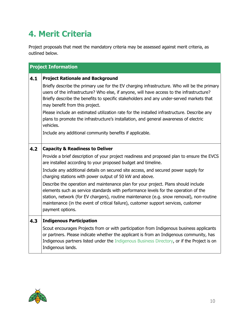## <span id="page-11-0"></span>**4. Merit Criteria**

Project proposals that meet the mandatory criteria may be assessed against merit criteria, as outlined below.

| <b>Project Information</b> |                                                                                                                                                                                                                                                                                                                                                                                  |  |  |
|----------------------------|----------------------------------------------------------------------------------------------------------------------------------------------------------------------------------------------------------------------------------------------------------------------------------------------------------------------------------------------------------------------------------|--|--|
| 4.1                        | <b>Project Rationale and Background</b>                                                                                                                                                                                                                                                                                                                                          |  |  |
|                            | Briefly describe the primary use for the EV charging infrastructure. Who will be the primary<br>users of the infrastructure? Who else, if anyone, will have access to the infrastructure?<br>Briefly describe the benefits to specific stakeholders and any under-served markets that<br>may benefit from this project.                                                          |  |  |
|                            | Please include an estimated utilization rate for the installed infrastructure. Describe any<br>plans to promote the infrastructure's installation, and general awareness of electric<br>vehicles.                                                                                                                                                                                |  |  |
|                            | Include any additional community benefits if applicable.                                                                                                                                                                                                                                                                                                                         |  |  |
| 4.2                        | <b>Capacity &amp; Readiness to Deliver</b>                                                                                                                                                                                                                                                                                                                                       |  |  |
|                            | Provide a brief description of your project readiness and proposed plan to ensure the EVCS<br>are installed according to your proposed budget and timeline.                                                                                                                                                                                                                      |  |  |
|                            | Include any additional details on secured site access, and secured power supply for<br>charging stations with power output of 50 kW and above.                                                                                                                                                                                                                                   |  |  |
|                            | Describe the operation and maintenance plan for your project. Plans should include<br>elements such as service standards with performance levels for the operation of the<br>station, network (for EV chargers), routine maintenance (e.g. snow removal), non-routine<br>maintenance (in the event of critical failure), customer support services, customer<br>payment options. |  |  |
| 4.3                        | <b>Indigenous Participation</b>                                                                                                                                                                                                                                                                                                                                                  |  |  |
|                            | Scout encourages Projects from or with participation from Indigenous business applicants<br>or partners. Please indicate whether the applicant is from an Indigenous community, has<br>Indigenous partners listed under the Indigenous Business Directory, or if the Project is on<br>Indigenous lands.                                                                          |  |  |

<span id="page-11-1"></span>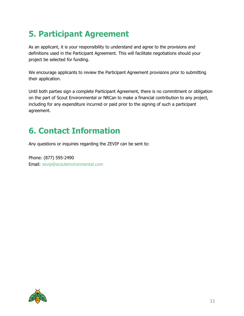## **5. Participant Agreement**

As an applicant, it is your responsibility to understand and agree to the provisions and definitions used in the Participant Agreement. This will facilitate negotiations should your project be selected for funding.

We encourage applicants to review the Participant Agreement provisions prior to submitting their application.

Until both parties sign a complete Participant Agreement, there is no commitment or obligation on the part of Scout Environmental or NRCan to make a financial contribution to any project, including for any expenditure incurred or paid prior to the signing of such a participant agreement.

## <span id="page-12-0"></span>**6. Contact Information**

Any questions or inquiries regarding the ZEVIP can be sent to:

Phone: (877) 595-2490 Email: [zevip@scoutenvironmental.com](mailto:zevip@scoutenvironmental.com)

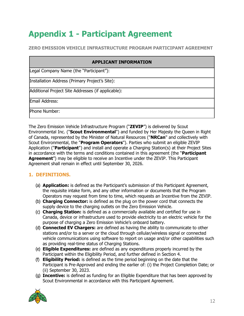## <span id="page-13-0"></span>**Appendix 1 - Participant Agreement**

**ZERO EMISSION VEHICLE INFRASTRUCTURE PROGRAM PARTICIPANT AGREEMENT**

| <b>APPLICANT INFORMATION</b>                       |  |  |
|----------------------------------------------------|--|--|
| Legal Company Name (the "Participant"):            |  |  |
| Installation Address (Primary Project's Site):     |  |  |
| Additional Project Site Addresses (if applicable): |  |  |
| Email Address:                                     |  |  |
| Phone Number:                                      |  |  |

The Zero Emission Vehicle Infrastructure Program ("**ZEVIP**") is delivered by Scout Environmental Inc. ("**Scout Environmental**") and funded by Her Majesty the Queen in Right of Canada, represented by the Minister of Natural Resources ("**NRCan**'' and collectively with Scout Environmental, the "**Program Operators**''). Parties who submit an eligible ZEVIP Application ("**Participant**") and install and operate a Charging Station(s) at their Project Sites in accordance with the terms and conditions contained in this agreement (the "**Participant Agreement**") may be eligible to receive an Incentive under the ZEVIP. This Participant Agreement shall remain in effect until September 30, 2026.

## **1. DEFINITIONS.**

- (a) **Application:** is defined as the Participant's submission of this Participant Agreement, the requisite intake form, and any other information or documents that the Program Operators may request from time to time, which requests an Incentive from the ZEVIP.
- (b) **Charging Connector:** is defined as the plug on the power cord that connects the supply device to the charging outlets on the Zero Emission Vehicle.
- (c) **Charging Station:** is defined as a commercially available and certified for use in Canada, device or infrastructure used to provide electricity to an electric vehicle for the purpose of charging a Zero Emission Vehicle's onboard battery.
- (d) **Connected EV Chargers:** are defined as having the ability to communicate to other stations and/or to a server or the cloud through cellular/wireless signal or connected vehicle communications using software to report on usage and/or other capabilities such as providing real-time status of Charging Stations.
- (e) **Eligible Expenditures:** are defined as any expenditures properly incurred by the Participant within the Eligibility Period, and further defined in Section 4.
- (f) **Eligibility Period:** is defined as the time period beginning on the date that the Participant is Pre-Approved and ending the earlier of: (i) the Project Completion Date; or (ii) September 30, 2023.
- (g) **Incentive:** is defined as funding for an Eligible Expenditure that has been approved by Scout Environmental in accordance with this Participant Agreement.

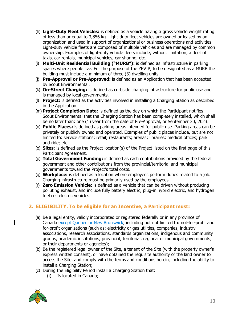- (h) **Light-Duty Fleet Vehicles:** is defined as a vehicle having a gross vehicle weight rating of less than or equal to 3,856 kg. Light-duty fleet vehicles are owned or leased by an organization and used in support of organizational or business operations and activities. Light-duty vehicle fleets are composed of multiple vehicles and are managed by common ownership. Examples of light-duty vehicle fleets include, without limitation, a fleet of taxis, car rentals, municipal vehicles, car sharing, etc.
- (i) **Multi-Unit Residential Building ("MURB"):** is defined as infrastructure in parking spaces where people live. For the purpose of the ZEVIP, to be designated as a MURB the building must include a minimum of three (3) dwelling units.
- (j) **Pre-Approval or Pre-Approved:** is defined as an Application that has been accepted by Scout Environmental.
- (k) **On-Street Charging:** is defined as curbside charging infrastructure for public use and is managed by local governments.
- (l) **Project:** is defined as the activities involved in installing a Charging Station as described in the Application.
- (m) **Project Completion Date**: is defined as the day on which the Participant notifies Scout Environmental that the Charging Station has been completely installed, which shall be no later than: one (1) year from the date of Pre-Approval, or September 30, 2023.
- (n) **Public Places:** is defined as parking areas intended for public use. Parking areas can be privately or publicly owned and operated. Examples of public places include, but are not limited to: service stations; retail; restaurants; arenas; libraries; medical offices; park and ride; etc.
- (o) **Sites**: is defined as the Project location(s) of the Project listed on the first page of this Participant Agreement.
- (p) **Total Government Funding:** is defined as cash contributions provided by the federal government and other contributions from the provincial/territorial and municipal governments toward the Project's total costs.
- (q) **Workplace:** is defined as a location where employees perform duties related to a job. Charging infrastructure must be primarily used by the employees.
- (r) **Zero Emission Vehicle:** is defined as a vehicle that can be driven without producing polluting exhaust, and include fully battery electric, plug-in hybrid electric, and hydrogen fuel cell electric vehicles.

## **2. ELIGIBILITY. To be eligible for an Incentive, a Participant must:**

- (a) Be a legal entity, validly incorporated or registered federally or in any province of Canada except Quebec or New Brunswick, including but not limited to: not-for-profit and for-profit organizations (such as: electricity or gas utilities, companies, industry associations, research associations, standards organizations, indigenous and community groups, academic institutions, provincial, territorial, regional or municipal governments, or their departments or agencies);
- (b) Be the registered legal owner of the Site, a tenant of the Site (with the property owner's express written consent), or have obtained the requisite authority of the land owner to access the Site, and comply with the terms and conditions herein, including the ability to install a Charging Station;
- (c) During the Eligibility Period install a Charging Station that:
	- (i) Is located in Canada;

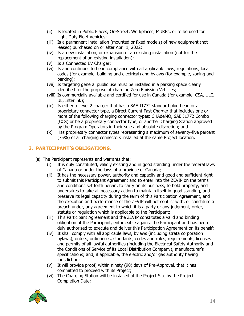- (ii) Is located in Public Places, On-Street, Workplaces, MURBs, or to be used for Light-Duty Fleet Vehicles;
- (iii) Is a permanent installation (mounted or fixed models) of new equipment (not leased) purchased on or after April 1, 2022;
- (iv) Is a new installation, or expansion of an existing installation (not for the replacement of an existing installation);
- (v) Is a Connected EV Charger;
- (vi) Is and continues to be in compliance with all applicable laws, regulations, local codes (for example, building and electrical) and bylaws (for example, zoning and parking);
- (vii) Is targeting general public use must be installed in a parking space clearly identified for the purpose of charging Zero Emission Vehicles;
- (viii) Is commercially available and certified for use in Canada (for example, CSA, ULC, UL, Interlink);
- (ix) Is either a Level 2 charger that has a SAE J1772 standard plug head or a proprietary connector type, a Direct Current Fast Charger that includes one or more of the following charging connector types: CHAdeMO, SAE J1772 Combo (CCS) or be a proprietary connector type, or another Charging Station approved by the Program Operators in their sole and absolute discretion; and
- (x) Has proprietary connector types representing a maximum of seventy-five percent (75%) of all charging connectors installed at the same Project location.

### **3. PARTICIPANT'S OBLIGATIONS.**

- (a) The Participant represents and warrants that:
	- (i) It is duly constituted, validly existing and in good standing under the federal laws of Canada or under the laws of a province of Canada;
	- (ii) It has the necessary power, authority and capacity and good and sufficient right to submit this Participant Agreement and to enter into the ZEVIP on the terms and conditions set forth herein, to carry on its business, to hold property, and undertakes to take all necessary action to maintain itself in good standing, and preserve its legal capacity during the term of this Participation Agreement, and the execution and performance of the ZEVIP will not conflict with, or constitute a breach under, any agreement to which it is a party or any judgment, order, statute or regulation which is applicable to the Participant;
	- (iii) This Participant Agreement and the ZEVIP constitutes a valid and binding obligation of the Participant, enforceable against the Participant and has been duly authorized to execute and deliver this Participation Agreement on its behalf;
	- (iv) It shall comply with all applicable laws**,** bylaws (including strata corporation bylaws), orders, ordinances, standards, codes and rules, requirements, licenses and permits of all lawful authorities (including the Electrical Safety Authority and the Conditions of Service of its Local Distribution Company), manufacturer's specifications; and, if applicable, the electric and/or gas authority having jurisdiction;
	- (v) It will provide proof, within ninety (90) days of Pre-Approval, that it has committed to proceed with its Project;
	- (vi) The Charging Station will be installed at the Project Site by the Project Completion Date;

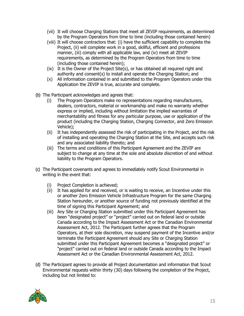- (vii) It will choose Charging Stations that meet all ZEVIP requirements, as determined by the Program Operators from time to time (including those contained herein)
- (viii) It will choose contractors that: (i) have the sufficient capability to complete the Proiect, (ii) will complete work in a good, skillful, efficient and professions manner, (iii) comply with all applicable law, and (iv) meet all ZEVIP requirements, as determined by the Program Operators from time to time (including those contained herein);
- (ix) It is the Owner of the Project Site(s), or has obtained all required right and authority and consent(s) to install and operate the Charging Station; and
- (x) All information contained in and submitted to the Program Operators under this Application the ZEVIP is true, accurate and complete.
- (b) The Participant acknowledges and agrees that:
	- (i) The Program Operators make no representations regarding manufacturers, dealers, contractors, material or workmanship and make no warranty whether express or implied, including without limitation the implied warranties of merchantability and fitness for any particular purpose, use or application of the product (including the Charging Station, Charging Connector, and Zero Emission Vehicle);
	- (ii) It has independently assessed the risk of participating in the Project, and the risk of installing and operating the Charging Station at the Site, and accepts such risk and any associated liability thereto; and
	- (iii) The terms and conditions of this Participant Agreement and the ZEVIP are subject to change at any time at the sole and absolute discretion of and without liability to the Program Operators.
- (c) The Participant covenants and agrees to immediately notify Scout Environmental in writing in the event that:
	- (i) Project Completion is achieved;
	- (ii) It has applied for and received, or is waiting to receive, an Incentive under this or another Zero Emission Vehicle Infrastructure Program for the same Charging Station hereunder, or another source of funding not previously identified at the time of signing this Participant Agreement; and
	- (iii) Any Site or Charging Station submitted under this Participant Agreement has been "designated project" or "project" carried out on federal land or outside Canada according to the Impact Assessment Act or the Canadian Environmental Assessment Act, 2012. The Participant further agrees that the Program Operators, at their sole discretion, may suspend payment of the Incentive and/or terminate the Participant Agreement should any Site or Charging Station submitted under this Participant Agreement becomes a "designated project" or "project" carried out on federal land or outside Canada according to the Impact Assessment Act or the Canadian Environmental Assessment Act, 2012.
- (d) The Participant agrees to provide all Project documentation and information that Scout Environmental requests within thirty (30) days following the completion of the Project, including but not limited to:

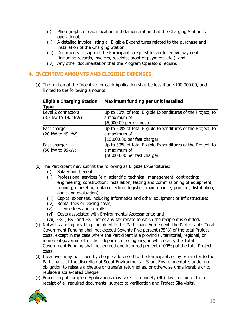- (i) Photographs of each location and demonstration that the Charging Station is operational;
- (ii) A detailed invoice listing all Eligible Expenditures related to the purchase and installation of the Charging Station;
- (iii) Documents to support the Participant's request for an Incentive payment (including records, invoices, receipts, proof of payment, etc.); and
- (iv) Any other documentation that the Program Operators require.

#### **4. INCENTIVE AMOUNTS AND ELIGIBLE EXPENSES.**

(a) The portion of the Incentive for each Application shall be less than \$100,000.00, and limited to the following amounts:

| <b>Eligible Charging Station</b><br><b>Type</b>              | Maximum funding per unit installed                                                                            |
|--------------------------------------------------------------|---------------------------------------------------------------------------------------------------------------|
| Level 2 connectors<br>$(3.3 \text{ kw to } 19.2 \text{ kW})$ | Up to 50% of total Eligible Expenditures of the Project, to<br>la maximum of<br>\$5,000.00 per connector.     |
| Fast charger<br>(20 kW to 49 kW)                             | Up to 50% of total Eligible Expenditures of the Project, to<br>la maximum of<br>\$15,000.00 per fast charger. |
| Fast charger<br>(50 kW to 99kW)                              | Up to 50% of total Eligible Expenditures of the Project, to<br>la maximum of<br>\$50,000.00 per fast charger. |

- (b) The Participant may submit the following as Eligible Expenditures:
	- (i) Salary and benefits;
	- (ii) Professional services (e.g. scientific, technical, management; contracting; engineering; construction; installation, testing and commissioning of equipment; training; marketing; data collection; logistics; maintenance; printing; distribution; audit and evaluation);
	- (iii) Capital expenses, including informatics and other equipment or infrastructure;
	- (iv) Rental fees or leasing costs;
	- (v) License fees and permits;
	- (vi) Costs associated with Environmental Assessments; and
	- (vii) GST, PST and HST net of any tax rebate to which the recipient is entitled.
- (c) Notwithstanding anything contained in this Participant Agreement, the Participant's Total Government Funding shall not exceed Seventy Five percent (75%) of the total Project costs, except in the case where the Participant is a provincial, territorial, regional, or municipal government or their department or agency, in which case, the Total Government Funding shall not exceed one hundred percent (100%) of the total Project costs.
- (d) Incentives may be issued by cheque addressed to the Participant, or by e-transfer to the Participant, at the discretion of Scout Environmental. Scout Environmental is under no obligation to reissue a cheque or transfer returned as, or otherwise undeliverable or to replace a stale-dated cheque.
- (e) Processing of complete Applications may take up to ninety (90) days, or more, from receipt of all required documents, subject to verification and Project Site visits.

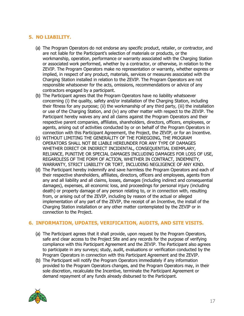### **5. NO LIABILITY.**

- (a) The Program Operators do not endorse any specific product, retailer, or contractor, and are not liable for the Participant's selection of materials or products, or the workmanship, operation, performance or warranty associated with the Charging Station or associated work performed, whether by a contractor, or otherwise, in relation to the ZEVIP. The Program Operators make no representation or warranty, whether express or implied, in respect of any product, materials, services or measures associated with the Charging Station installed in relation to the ZEVIP. The Program Operators are not responsible whatsoever for the acts, omissions, recommendations or advice of any contractors engaged by a participant.
- (b) The Participant agrees that the Program Operators have no liability whatsoever concerning (i) the quality, safety and/or installation of the Charging Station, including their fitness for any purpose; (ii) the workmanship of any third party, (iii) the installation or use of the Charging Station, and (iv) any other matter with respect to the ZEVIP. The Participant hereby waives any and all claims against the Program Operators and their respective parent companies, affiliates, shareholders, directors, officers, employees, or agents, arising out of activities conducted by or on behalf of the Program Operators in connection with this Participant Agreement, the Project, the ZEVIP, or for an Incentive.
- (c) WITHOUT LIMITING THE GENERALITY OF THE FOREGOING, THE PROGRAM OPERATORS SHALL NOT BE LIABLE HEREUNDER FOR ANY TYPE OF DAMAGES WHETHER DIRECT OR INDIRECT INCIDENTAL, CONSEQUENTIAL EXEMPLARY, RELIANCE, PUNITIVE OR SPECIAL DAMAGES INCLUDING DAMAGES FOR LOSS OF USE, REGARDLESS OF THE FORM OF ACTION, WHETHER IN CONTRACT, INDEMNITY, WARRANTY, STRICT LIABILITY OR TORT, INCLUDING NEGLIGENCE OF ANY KIND.
- (d) The Participant hereby indemnify and save harmless the Program Operators and each of their respective shareholders, affiliates, directors, officers and employees, agents from any and all liability and all claims, losses, damages (including indirect and consequential damages), expenses, all economic loss, and proceedings for personal injury (including death) or property damage of any person relating to, or in connection with, resulting from, or arising out of the ZEVIP, including by reason of the actual or alleged implementation of any part of the ZEVIP, the receipt of an Incentive, the install of the Charging Station installation or any other matter contemplated by the ZEVIP or in connection to the Project.

#### **6. INFORMATION, UPDATES, VERIFICATION, AUDITS, AND SITE VISITS.**

- (a) The Participant agrees that it shall provide, upon request by the Program Operators, safe and clear access to the Project Site and any records for the purpose of verifying compliance with this Participant Agreement and the ZEVIP. The Participant also agrees to participate in any surveys; study, audit, evaluations or verification conducted by the Program Operators in connection with this Participant Agreement and the ZEVIP.
- (b) The Participant will notify the Program Operators immediately if any information provided to the Program Operators changes, and the Program Operators may, in their sole discretion, recalculate the Incentive, terminate the Participant Agreement or demand repayment of any funds already disbursed to the Participant.

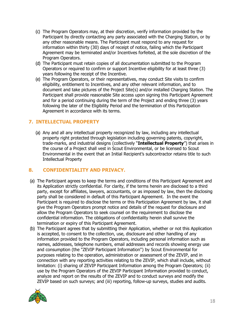- (c) The Program Operators may, at their discretion, verify information provided by the Participant by directly contacting any party associated with the Charging Station, or by any other reasonable means. The Participant must respond to any request for information within thirty (30) days of receipt of notice, failing which the Participant Agreement may be terminated and/or Incentives forfeited, at the sole discretion of the Program Operators.
- (d) The Participant must retain copies of all documentation submitted to the Program Operators or required to confirm or support Incentive eligibility for at least three (3) years following the receipt of the Incentive.
- (e) The Program Operators, or their representatives, may conduct Site visits to confirm eligibility, entitlement to Incentives, and any other relevant information, and to document and take pictures of the Project Site(s) and/or installed Charging Station. The Participant shall provide reasonable Site access upon signing this Participant Agreement and for a period continuing during the term of the Project and ending three (3) years following the later of the Eligibility Period and the termination of this Participation Agreement in accordance with its terms.

#### **7. INTELLECTUAL PROPERTY**

(a) Any and all any intellectual property recognized by law, including any intellectual property right protected through legislation including governing patents, copyright, trade-marks, and industrial designs (collectively "**Intellectual Property**") that arises in the course of a Project shall vest in Scout Environmental, or be licensed to Scout Environmental in the event that an Initial Recipient's subcontractor retains title to such Intellectual Property

#### **8. CONFIDENTIALITY AND PRIVACY.**

- (a) The Participant agrees to keep the terms and conditions of this Participant Agreement and its Application strictly confidential. For clarity, if the terms herein are disclosed to a third party, except for affiliates, lawyers, accountants, or as imposed by law, then the disclosing party shall be considered in default of this Participant Agreement. In the event the Participant is required to disclose the terms or this Participation Agreement by law, it shall give the Program Operators prompt notice and details of the request for disclosure and allow the Program Operators to seek counsel on the requirement to disclose the confidential information. The obligations of confidentiality herein shall survive the termination or expiry of this Participant Agreement.
- (b) The Participant agrees that by submitting their Application, whether or not this Application is accepted, to consent to the collection, use, disclosure and other handling of any information provided to the Program Operators, including personal information such as names, addresses, telephone numbers, email addresses and records showing energy use and consumption (the "ZEVIP Participant Information") by Scout Environmental for purposes relating to the operation, administration or assessment of the ZEVIP, and in connection with any reporting activities relating to the ZEVIP, which shall include, without limitation: (i) sharing of ZEVIP Participant Information among the Program Operators; (ii) use by the Program Operators of the ZEVIP Participant Information provided to conduct, analyze and report on the results of the ZEVIP and to conduct surveys and modify the ZEVIP based on such surveys; and (iii) reporting, follow-up surveys, studies and audits.

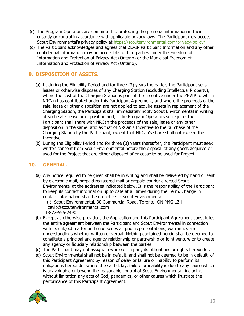- (c) The Program Operators are committed to protecting the personal information in their custody or control in accordance with applicable privacy laws. The Participant may access Scout Environmental's privacy policy at <https://scoutenvironmental.com/privacy-policy/>
- (d) The Participant acknowledges and agrees that ZEVIP Participant Information and any other confidential information may be accessible to third parties under the Freedom of Information and Protection of Privacy Act (Ontario) or the Municipal Freedom of Information and Protection of Privacy Act (Ontario).

### **9. DISPOSITION OF ASSETS.**

- (a) If, during the Eligibility Period and for three (3) years thereafter, the Participant sells, leases or otherwise disposes of any Charging Station (excluding Intellectual Property), where the cost of the Charging Station is part of the Incentive under the ZEVIP to which NRCan has contributed under this Participant Agreement, and where the proceeds of the sale, lease or other disposition are not applied to acquire assets in replacement of the Charging Station, the Participant shall immediately notify Scout Environmental in writing of such sale, lease or disposition and, if the Program Operators so require, the Participant shall share with NRCan the proceeds of the sale, lease or any other disposition in the same ratio as that of NRCan's Incentive to the purchase of the Charging Station by the Participant, except that NRCan's share shall not exceed the Incentive.
- (b) During the Eligibility Period and for three (3) years thereafter, the Participant must seek written consent from Scout Environmental before the disposal of any goods acquired or used for the Project that are either disposed of or cease to be used for Project.

#### **10. GENERAL.**

- (a) Any notice required to be given shall be in writing and shall be delivered by hand or sent by electronic mail, prepaid registered mail or prepaid courier directed Scout Environmental at the addresses indicated below. It is the responsibility of the Participant to keep its contact information up to date at all times during the Term. Change in contact information shall be on notice to Scout Environmental.
	- (i) Scout Environmental, 30 Commercial Road, Toronto, ON M4G 1Z4 zevip@scoutenvironmental.com 1-877-595-2490
- (b) Except as otherwise provided, the Application and this Participant Agreement constitutes the entire agreement between the Participant and Scout Environmental in connection with its subject matter and supersedes all prior representations, warranties and understandings whether written or verbal. Nothing contained herein shall be deemed to constitute a principal and agency relationship or partnership or joint venture or to create any agency or fiduciary relationship between the parties.
- (c) The Participant may not assign, in whole or in part, its obligations or rights hereunder.
- (d) Scout Environmental shall not be in default, and shall not be deemed to be in default, of this Participant Agreement by reason of delay or failure or inability to perform its obligations hereunder where the said delay, failure or inability is due to any cause which is unavoidable or beyond the reasonable control of Scout Environmental, including without limitation any acts of God, pandemics, or other causes which frustrate the performance of this Participant Agreement.